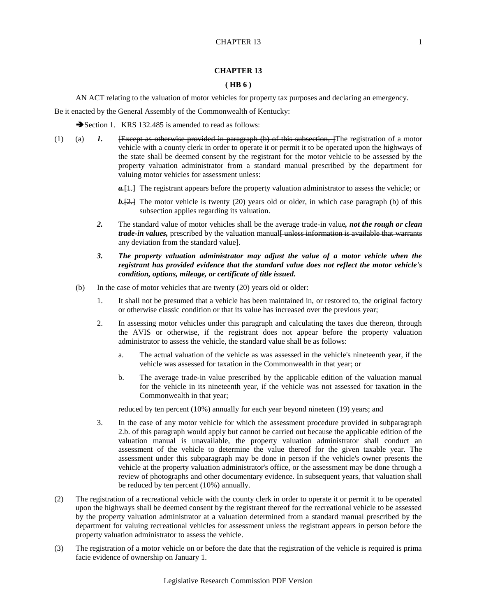## **CHAPTER 13**

## **( HB 6 )**

AN ACT relating to the valuation of motor vehicles for property tax purposes and declaring an emergency.

Be it enacted by the General Assembly of the Commonwealth of Kentucky:

Section 1. KRS 132.485 is amended to read as follows:

- (1) (a) *1.* <del>[Except as otherwise provided in paragraph (b) of this subsection, ]</del>The registration of a motor vehicle with a county clerk in order to operate it or permit it to be operated upon the highways of the state shall be deemed consent by the registrant for the motor vehicle to be assessed by the property valuation administrator from a standard manual prescribed by the department for valuing motor vehicles for assessment unless:
	- *a.* [1.] The registrant appears before the property valuation administrator to assess the vehicle; or
	- **b.**[2.] The motor vehicle is twenty (20) years old or older, in which case paragraph (b) of this subsection applies regarding its valuation.
	- *2.* The standard value of motor vehicles shall be the average trade-in value*, not the rough or clean trade-in values*, prescribed by the valuation manual<del>[ unless information is available that warrants</del> any deviation from the standard value].
	- *3. The property valuation administrator may adjust the value of a motor vehicle when the registrant has provided evidence that the standard value does not reflect the motor vehicle's condition, options, mileage, or certificate of title issued.*
	- (b) In the case of motor vehicles that are twenty (20) years old or older:
		- 1. It shall not be presumed that a vehicle has been maintained in, or restored to, the original factory or otherwise classic condition or that its value has increased over the previous year;
		- 2. In assessing motor vehicles under this paragraph and calculating the taxes due thereon, through the AVIS or otherwise, if the registrant does not appear before the property valuation administrator to assess the vehicle, the standard value shall be as follows:
			- a. The actual valuation of the vehicle as was assessed in the vehicle's nineteenth year, if the vehicle was assessed for taxation in the Commonwealth in that year; or
			- b. The average trade-in value prescribed by the applicable edition of the valuation manual for the vehicle in its nineteenth year, if the vehicle was not assessed for taxation in the Commonwealth in that year;

reduced by ten percent (10%) annually for each year beyond nineteen (19) years; and

- 3. In the case of any motor vehicle for which the assessment procedure provided in subparagraph 2.b. of this paragraph would apply but cannot be carried out because the applicable edition of the valuation manual is unavailable, the property valuation administrator shall conduct an assessment of the vehicle to determine the value thereof for the given taxable year. The assessment under this subparagraph may be done in person if the vehicle's owner presents the vehicle at the property valuation administrator's office, or the assessment may be done through a review of photographs and other documentary evidence. In subsequent years, that valuation shall be reduced by ten percent (10%) annually.
- (2) The registration of a recreational vehicle with the county clerk in order to operate it or permit it to be operated upon the highways shall be deemed consent by the registrant thereof for the recreational vehicle to be assessed by the property valuation administrator at a valuation determined from a standard manual prescribed by the department for valuing recreational vehicles for assessment unless the registrant appears in person before the property valuation administrator to assess the vehicle.
- (3) The registration of a motor vehicle on or before the date that the registration of the vehicle is required is prima facie evidence of ownership on January 1.